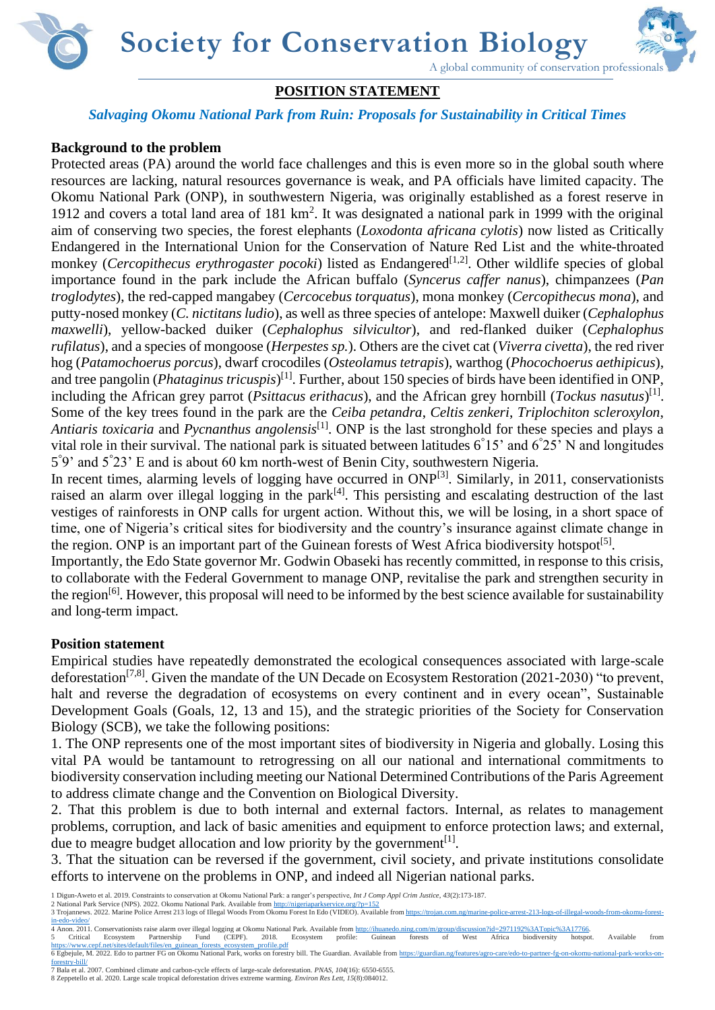**Society for Conservation Biology**



# **POSITION STATEMENT**

## *Salvaging Okomu National Park from Ruin: Proposals for Sustainability in Critical Times*

# **Background to the problem**

Protected areas (PA) around the world face challenges and this is even more so in the global south where resources are lacking, natural resources governance is weak, and PA officials have limited capacity. The Okomu National Park (ONP), in southwestern Nigeria, was originally established as a forest reserve in 1912 and covers a total land area of 181 km<sup>2</sup>. It was designated a national park in 1999 with the original aim of conserving two species, the forest elephants (*Loxodonta africana cylotis*) now listed as Critically Endangered in the International Union for the Conservation of Nature Red List and the white-throated monkey (*Cercopithecus erythrogaster pocoki*) listed as Endangered<sup>[1,2]</sup>. Other wildlife species of global importance found in the park include the African buffalo (*Syncerus caffer nanus*), chimpanzees (*Pan troglodytes*), the red-capped mangabey (*Cercocebus torquatus*), mona monkey (*Cercopithecus mona*), and putty-nosed monkey (*C. nictitans ludio*), as well as three species of antelope: Maxwell duiker (*Cephalophus maxwelli*), yellow-backed duiker (*Cephalophus silvicultor*), and red-flanked duiker (*Cephalophus rufilatus*), and a species of mongoose (*Herpestes sp.*). Others are the civet cat (*Viverra civetta*), the red river hog (*Patamochoerus porcus*), dwarf crocodiles (*Osteolamus tetrapis*), warthog (*Phocochoerus aethipicus*), and tree pangolin (*Phataginus tricuspis*) [1]. Further, about 150 species of birds have been identified in ONP, including the African grey parrot (*Psittacus erithacus*), and the African grey hornbill (*Tockus nasutus*) [1] . Some of the key trees found in the park are the *Ceiba petandra*, *Celtis zenkeri*, *Triplochiton scleroxylon*, *Antiaris toxicaria* and *Pycnanthus angolensis*[1]. ONP is the last stronghold for these species and plays a vital role in their survival. The national park is situated between latitudes  $6°15'$  and  $6°25'$  N and longitudes 5 ° 9' and 5° 23' E and is about 60 km north-west of Benin City, southwestern Nigeria.

In recent times, alarming levels of logging have occurred in ONP<sup>[3]</sup>. Similarly, in 2011, conservationists raised an alarm over illegal logging in the park<sup>[4]</sup>. This persisting and escalating destruction of the last vestiges of rainforests in ONP calls for urgent action. Without this, we will be losing, in a short space of time, one of Nigeria's critical sites for biodiversity and the country's insurance against climate change in the region. ONP is an important part of the Guinean forests of West Africa biodiversity hotspot<sup>[5]</sup>.

Importantly, the Edo State governor Mr. Godwin Obaseki has recently committed, in response to this crisis, to collaborate with the Federal Government to manage ONP, revitalise the park and strengthen security in the region<sup>[6]</sup>. However, this proposal will need to be informed by the best science available for sustainability and long-term impact.

## **Position statement**

Empirical studies have repeatedly demonstrated the ecological consequences associated with large-scale deforestation[7,8]. Given the mandate of the UN Decade on Ecosystem Restoration (2021-2030) "to prevent, halt and reverse the degradation of ecosystems on every continent and in every ocean", Sustainable Development Goals (Goals, 12, 13 and 15), and the strategic priorities of the Society for Conservation Biology (SCB), we take the following positions:

1. The ONP represents one of the most important sites of biodiversity in Nigeria and globally. Losing this vital PA would be tantamount to retrogressing on all our national and international commitments to biodiversity conservation including meeting our National Determined Contributions of the Paris Agreement to address climate change and the Convention on Biological Diversity.

2. That this problem is due to both internal and external factors. Internal, as relates to management problems, corruption, and lack of basic amenities and equipment to enforce protection laws; and external, due to meagre budget allocation and low priority by the government $^{[1]}$ .

3. That the situation can be reversed if the government, civil society, and private institutions consolidate efforts to intervene on the problems in ONP, and indeed all Nigerian national parks.

8 Zeppetello et al. 2020. Large scale tropical deforestation drives extreme warming. *Environ Res Lett*, *15*(8):084012.

<sup>1</sup> Digun-Aweto et al. 2019. Constraints to conservation at Okomu National Park: a ranger's perspective, *Int J Comp Appl Crim Justice*, *43*(2):173-187. 2 National Park Service (NPS). 2022. Okomu National Park. Available fro[m http://nigeriaparkservice.org/?p=152](http://nigeriaparkservice.org/?p=152)

<sup>3</sup> Trojannews. 2022. Marine Police Arrest 213 logs of Illegal Woods From Okomu Forest In Edo (VIDEO). Available from https://tro [in-edo-video/](https://trojan.com.ng/marine-police-arrest-213-logs-of-illegal-woods-from-okomu-forest-in-edo-video/)

<sup>4</sup> Anon. 2011. Conservationists raise alarm over illegal logging at Okomu National Park. Available fro[m http://ihuanedo.ning.com/m/group/discussion?id=2971192%3ATopic%3A17766.](http://ihuanedo.ning.com/m/group/discussion?id=2971192%3ATopic%3A17766)

<sup>5</sup> Critical Ecosystem Partnership Fund (CEPF). 2018. Ecosystem profile: Guinean forests of West Africa biodiversity hotspot. Available from https://www.cepf.net/sites/default/files/en\_guinean\_forests\_ecosystem\_profile.pdf [https://www.cepf.net/sites/default/files/en\\_guinean\\_forests\\_ecosystem\\_profile.pdf](https://www.cepf.net/sites/default/files/en_guinean_forests_ecosystem_profile.pdf)<br>6 Egbejule, M. 2022. Edo to partner FG on Okomu National Park, works on forestry bill. The Guardian. Available from https://guardian.ng/feat

[forestry-bill/](https://guardian.ng/features/agro-care/edo-to-partner-fg-on-okomu-national-park-works-on-forestry-bill/) 7 Bala et al. 2007. Combined climate and carbon-cycle effects of large-scale deforestation. *PNAS*, *104*(16): 6550-6555.